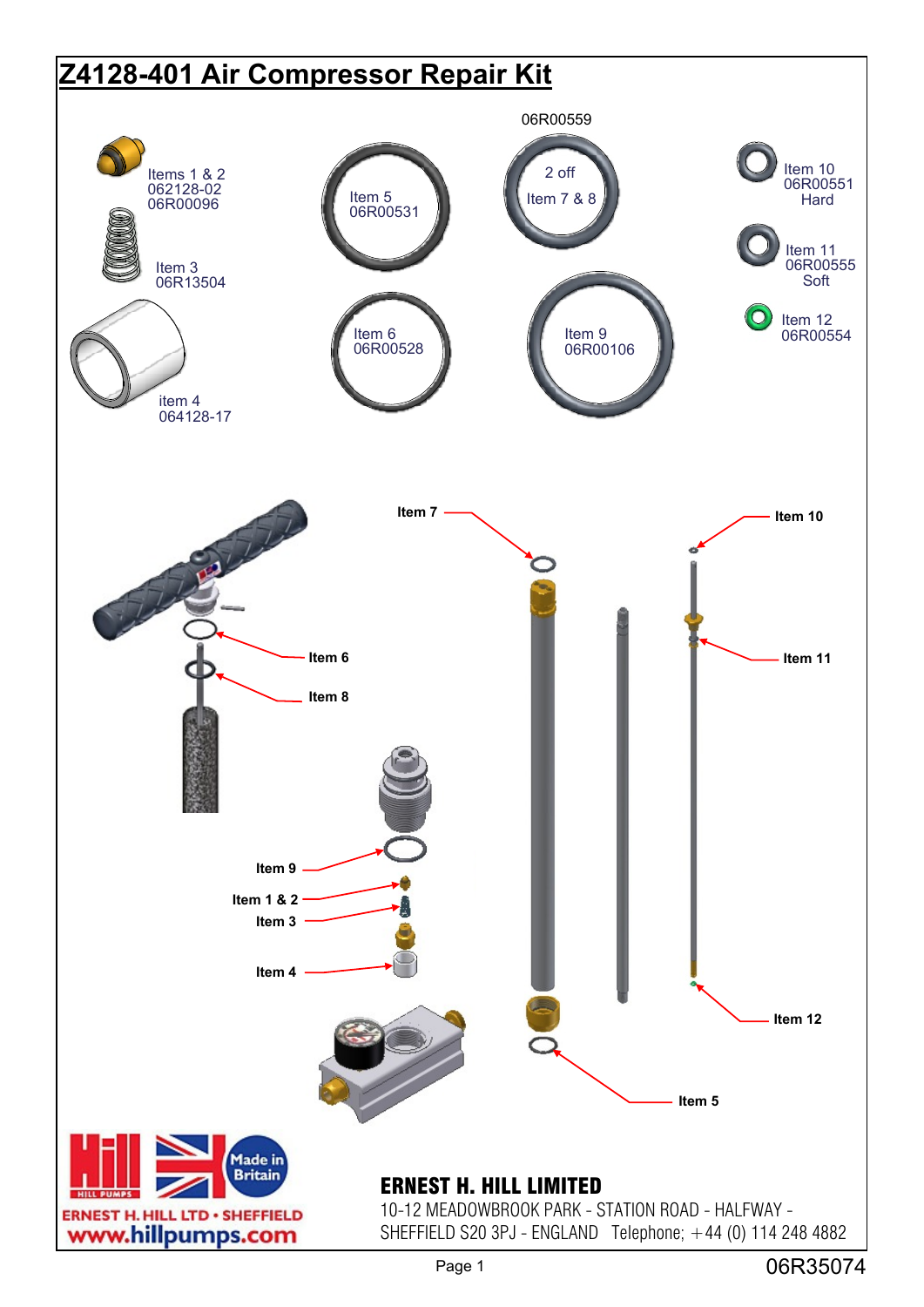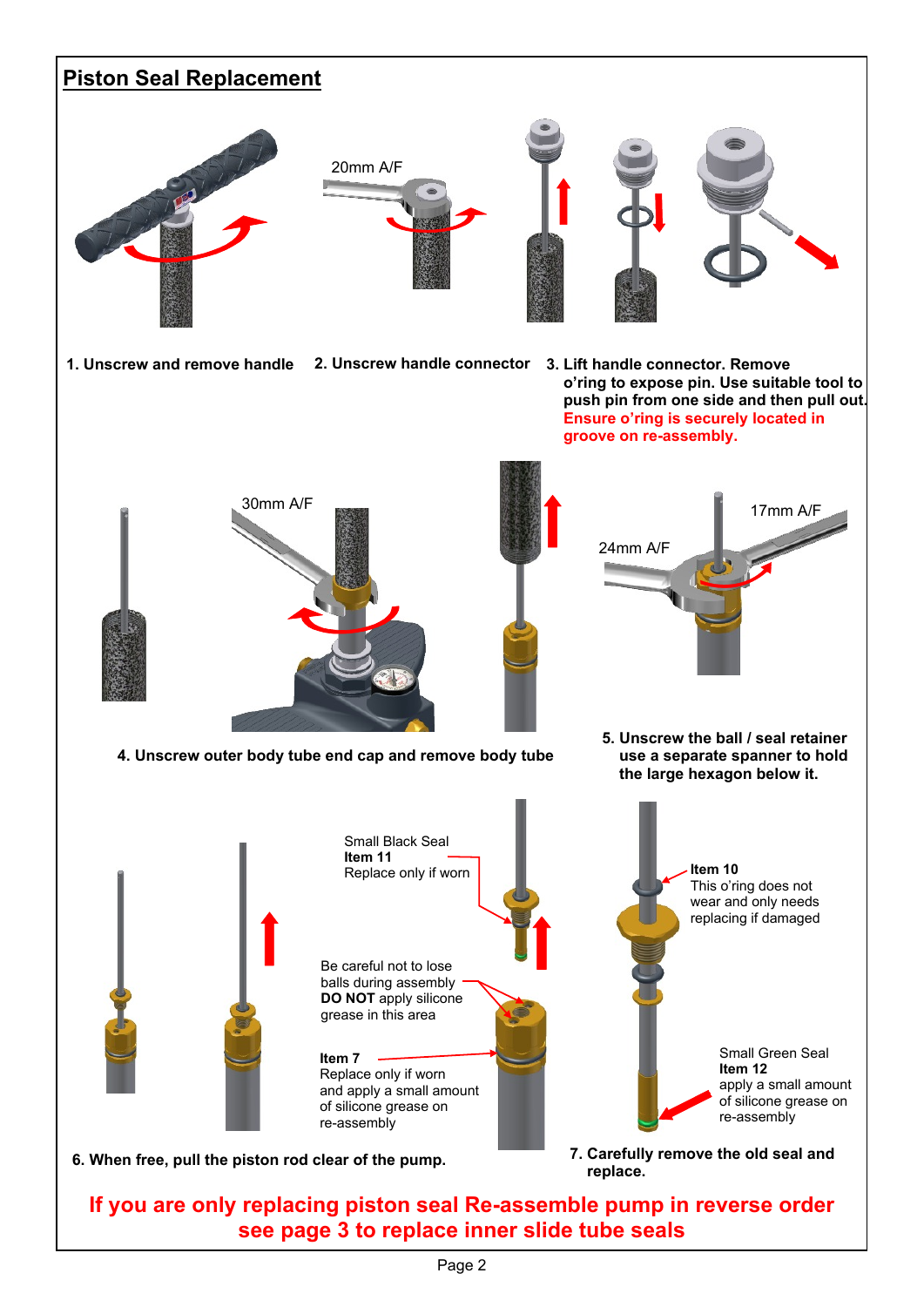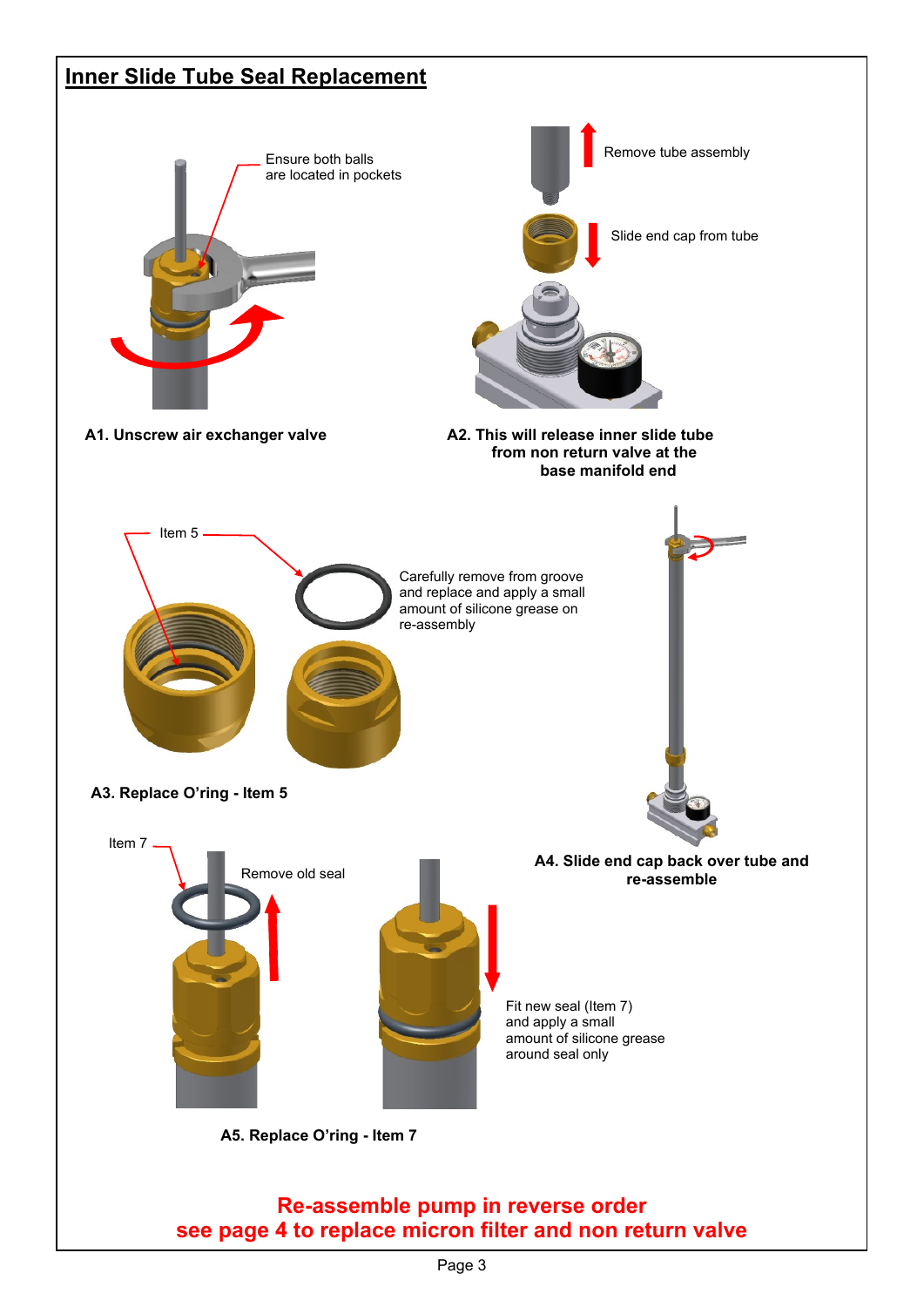